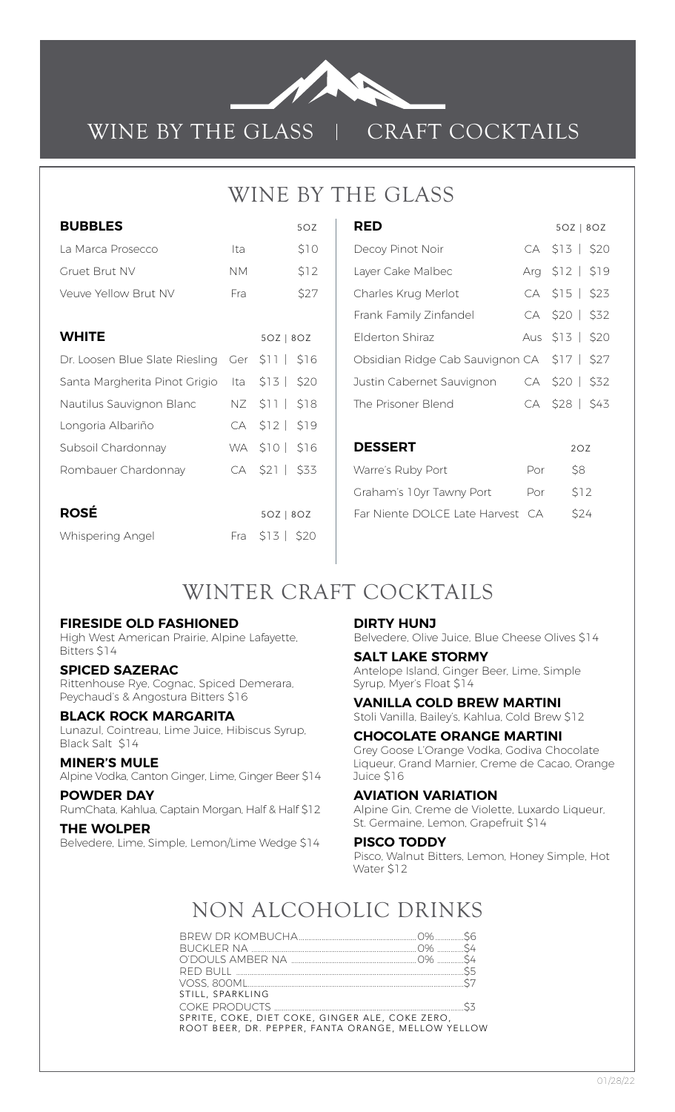

### WINE BY THE GLASS | CRAFT COCKTAILS

### WINE BY THE GLASS

| <b>BUBBLES</b>                          |           | 5OZ             |
|-----------------------------------------|-----------|-----------------|
| La Marca Prosecco                       | Ita       | \$10            |
| Gruet Brut NV                           | <b>NM</b> | \$12            |
| Veuve Yellow Brut NV                    | Fra       | \$27            |
|                                         |           |                 |
| <b>WHITE</b>                            |           | $5OZ$   8OZ     |
| Dr. Loosen Blue Slate Riesling Ger \$11 |           | \$16            |
| Santa Margherita Pinot Grigio Ita       |           | $$13$   \$20    |
| Nautilus Sauvignon Blanc                |           | NZ \$11   \$18  |
| Longoria Albariño                       |           | CA \$12   \$19  |
| Subsoil Chardonnay                      |           | WA \$10   \$16  |
| Rombauer Chardonnay                     | CA        | $$21$  <br>\$33 |
|                                         |           |                 |
| <b>ROSÉ</b>                             |           | $5OZ$   8OZ     |
| Whispering Angel                        | Fra       | $$13$   \$20    |

| <b>RED</b>                                  |     | 50Z   80Z       |
|---------------------------------------------|-----|-----------------|
| Decoy Pinot Noir                            |     | CA \$13   \$20  |
| Layer Cake Malbec                           |     | Arg \$12   \$19 |
| Charles Krug Merlot                         |     | CA \$15   \$23  |
| Frank Family Zinfandel                      |     | CA \$20   \$32  |
| Elderton Shiraz                             |     | Aus \$13   \$20 |
| Obsidian Ridge Cab Sauvignon CA \$17   \$27 |     |                 |
| Justin Cabernet Sauvignon                   |     | CA \$20   \$32  |
| The Prisoner Blend                          |     | CA \$28   \$43  |
|                                             |     |                 |
| <b>DESSERT</b>                              |     | 2OZ             |
| Warre's Ruby Port                           | Por | \$8             |
| Graham's 10yr Tawny Port                    | Por | \$12            |
| Far Niente DOLCE Late Harvest               | CA. | \$24            |

### WINTER CRAFT COCKTAILS

#### **FIRESIDE OLD FASHIONED**

High West American Prairie, Alpine Lafayette, Bitters \$14

#### **SPICED SAZERAC**

Rittenhouse Rye, Cognac, Spiced Demerara, Peychaud's & Angostura Bitters \$16

#### **BLACK ROCK MARGARITA**

Lunazul, Cointreau, Lime Juice, Hibiscus Syrup, Black Salt \$14

#### **MINER'S MULE**

Alpine Vodka, Canton Ginger, Lime, Ginger Beer \$14

#### **POWDER DAY**

RumChata, Kahlua, Captain Morgan, Half & Half \$12 **THE WOLPER**

### Belvedere, Lime, Simple, Lemon/Lime Wedge \$14

#### **DIRTY HUNJ**

Belvedere, Olive Juice, Blue Cheese Olives \$14

#### **SALT LAKE STORMY**

Antelope Island, Ginger Beer, Lime, Simple Syrup, Myer's Float \$14

**VANILLA COLD BREW MARTINI** Stoli Vanilla, Bailey's, Kahlua, Cold Brew \$12

#### **CHOCOLATE ORANGE MARTINI**

Grey Goose L'Orange Vodka, Godiva Chocolate Liqueur, Grand Marnier, Creme de Cacao, Orange Juice \$16

#### **AVIATION VARIATION**

Alpine Gin, Creme de Violette, Luxardo Liqueur, St. Germaine, Lemon, Grapefruit \$14

#### **PISCO TODDY**

Pisco, Walnut Bitters, Lemon, Honey Simple, Hot Water \$12

# NON ALCOHOLIC DRINKS

| STILL, SPARKLING                                                                                      |  |
|-------------------------------------------------------------------------------------------------------|--|
|                                                                                                       |  |
| SPRITE, COKE, DIET COKE, GINGER ALE, COKE ZERO.<br>ROOT BEER, DR. PEPPER, FANTA ORANGE, MELLOW YELLOW |  |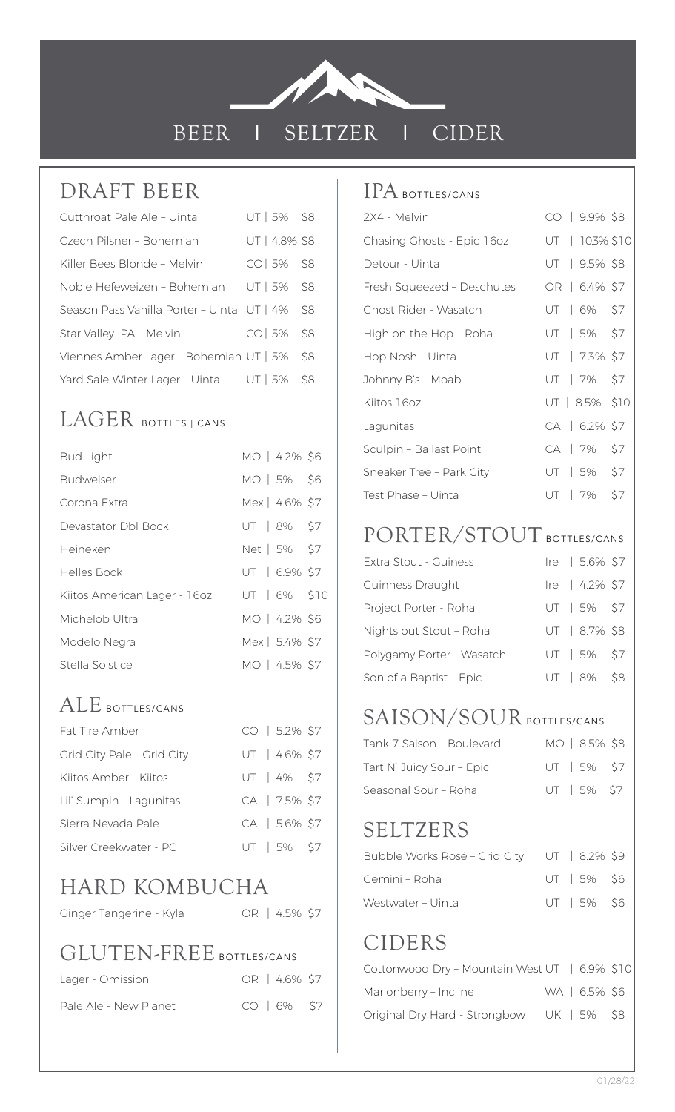

BEER I SELTZER I CIDER

### DRAFT BEER

| Cutthroat Pale Ale - Uinta                 | UT 5% \$8     |     |
|--------------------------------------------|---------------|-----|
| Czech Pilsner - Bohemian                   | UT   4.8% \$8 |     |
| Killer Bees Blonde - Melvin                | $CO$   5% \$8 |     |
| Noble Hefeweizen - Bohemian                | UT   5%       | \$8 |
| Season Pass Vanilla Porter - Uinta UT   4% |               | \$8 |
| Star Valley IPA - Melvin                   | $CO$   5% \$8 |     |
| Viennes Amber Lager - Bohemian UT   5%     |               | S8  |
| Yard Sale Winter Lager - Uinta             | UT   5%       | S8  |

# LAGER BOTTLES | CANS

| <b>Bud Light</b>             | MO   4.2% \$6  |  |
|------------------------------|----------------|--|
| <b>Budweiser</b>             | MO   5% \$6    |  |
| Corona Extra                 | Mex   4.6% \$7 |  |
| Devastator Dbl Bock          | UT   8% \$7    |  |
| Heineken                     | Net   5% \$7   |  |
| Helles Bock                  | UT   6.9% \$7  |  |
| Kiitos American Lager - 16oz | UT   6% \$10   |  |
| Michelob Ultra               | MO   4.2% \$6  |  |
| Modelo Negra                 | Mex   5.4% \$7 |  |
| Stella Solstice              | MO   4.5% \$7  |  |
|                              |                |  |

### ALE BOTTLES/CANS

| <b>Fat Tire Amber</b>      |  | CO   5.2% \$7 |  |
|----------------------------|--|---------------|--|
| Grid City Pale - Grid City |  | UT   4.6% \$7 |  |
| Kiitos Amber - Kiitos      |  | UT   4% \$7   |  |
| Lil' Sumpin - Lagunitas    |  | CA   7.5% \$7 |  |
| Sierra Nevada Pale         |  | CA   5.6% \$7 |  |
| Silver Creekwater - PC     |  | UT   5% \$7   |  |

# HARD KOMBUCHA

Ginger Tangerine - Kyla COR | 4.5% \$7

### GLUTEN-FREE BOTTLES/CANS

| Lager - Omission      |  | OR   4.6% \$7   |  |
|-----------------------|--|-----------------|--|
| Pale Ale - New Planet |  | $CO$ $16\%$ \$7 |  |

### IPA BOTTLES/CANS

| 2X4 - Melvin                 | $CO$   9.9% \$8   |
|------------------------------|-------------------|
| Chasing Ghosts - Epic 16oz   | UT   10.3% \$10   |
| Detour - Uinta               | UT   9.5% \$8     |
| Fresh Squeezed - Deschutes   | OR   6.4% \$7     |
| <b>Ghost Rider - Wasatch</b> | UT   6% \$7       |
| High on the Hop - Roha       | UT   5% \$7       |
| Hop Nosh - Uinta             | UT   7.3% \$7     |
| Johnny B's - Moab            | UT   7% \$7       |
| Kiitos 16oz                  | $UT   8.5\%$ \$10 |
| Lagunitas                    | CA   6.2% \$7     |
| Sculpin - Ballast Point      | CA   7% \$7       |
| Sneaker Tree - Park City     | UT   5% \$7       |
| Test Phase - Uinta           | UT   7% \$7       |

### PORTER/STOUT BOTTLES/CANS

| Extra Stout - Guiness     |  | Ire   5.6% \$7 |  |
|---------------------------|--|----------------|--|
| Guinness Draught          |  | Ire   4.2% \$7 |  |
| Project Porter - Roha     |  | UT   5% \$7    |  |
| Nights out Stout - Roha   |  | UT   8.7% \$8  |  |
| Polygamy Porter - Wasatch |  | UT   5% \$7    |  |
| Son of a Baptist - Epic   |  | UT   8% \$8    |  |

### SAISON/SOUR BOTTLES/CANS

| Tank 7 Saison - Boulevard | MO   8.5% \$8 |  |
|---------------------------|---------------|--|
| Tart N' Juicy Sour - Epic | UT   5% \$7   |  |
| Seasonal Sour - Roha      | $UT$ 5% \$7   |  |

### SELTZERS

| Bubble Works Rosé - Grid City UT   8.2% \$9 |             |  |
|---------------------------------------------|-------------|--|
| Gemini - Roha                               | $UT$ 5% \$6 |  |
| Westwater - Uinta                           | $UT$ 5% \$6 |  |

# CIDERS

| Cottonwood Dry - Mountain West UT   6.9% \$10 |  |               |  |
|-----------------------------------------------|--|---------------|--|
| Marionberry - Incline                         |  | WA   6.5% \$6 |  |
| Original Dry Hard - Strongbow UK   5% \$8     |  |               |  |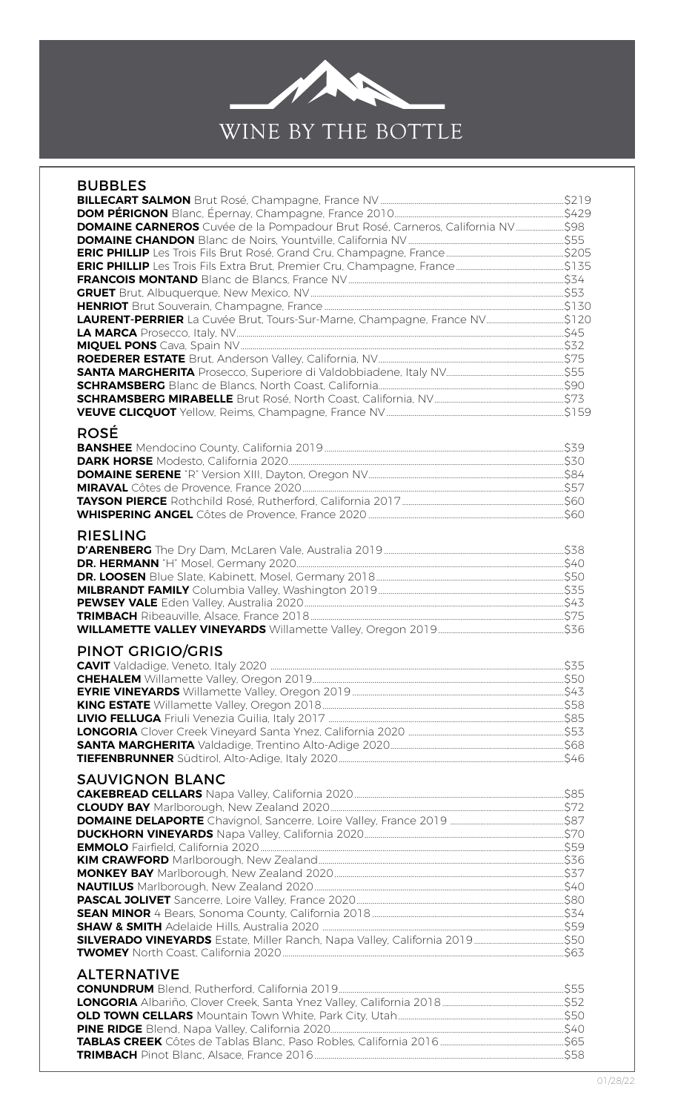

| <b>BUBBLES</b>                                                            |  |
|---------------------------------------------------------------------------|--|
|                                                                           |  |
|                                                                           |  |
|                                                                           |  |
|                                                                           |  |
|                                                                           |  |
|                                                                           |  |
|                                                                           |  |
|                                                                           |  |
|                                                                           |  |
| LAURENT-PERRIER La Cuvée Brut, Tours-Sur-Marne, Champagne, France NV\$120 |  |
|                                                                           |  |
|                                                                           |  |
|                                                                           |  |
|                                                                           |  |
|                                                                           |  |
|                                                                           |  |
|                                                                           |  |
|                                                                           |  |
| <b>ROSÉ</b>                                                               |  |
|                                                                           |  |
|                                                                           |  |
|                                                                           |  |
|                                                                           |  |
|                                                                           |  |
|                                                                           |  |
|                                                                           |  |
| <b>RIESLING</b>                                                           |  |
|                                                                           |  |
|                                                                           |  |
|                                                                           |  |
|                                                                           |  |
|                                                                           |  |
|                                                                           |  |
|                                                                           |  |
|                                                                           |  |
| <b>PINOT GRIGIO/GRIS</b>                                                  |  |
|                                                                           |  |
|                                                                           |  |
|                                                                           |  |
|                                                                           |  |
|                                                                           |  |
|                                                                           |  |
|                                                                           |  |
|                                                                           |  |
|                                                                           |  |
| <b>SAUVIGNON BLANC</b>                                                    |  |
|                                                                           |  |
|                                                                           |  |
|                                                                           |  |
|                                                                           |  |
|                                                                           |  |
|                                                                           |  |
|                                                                           |  |
|                                                                           |  |
|                                                                           |  |
|                                                                           |  |
|                                                                           |  |
|                                                                           |  |
|                                                                           |  |
|                                                                           |  |
| <b>ALTERNATIVE</b>                                                        |  |
|                                                                           |  |
|                                                                           |  |
|                                                                           |  |
|                                                                           |  |
|                                                                           |  |
|                                                                           |  |
|                                                                           |  |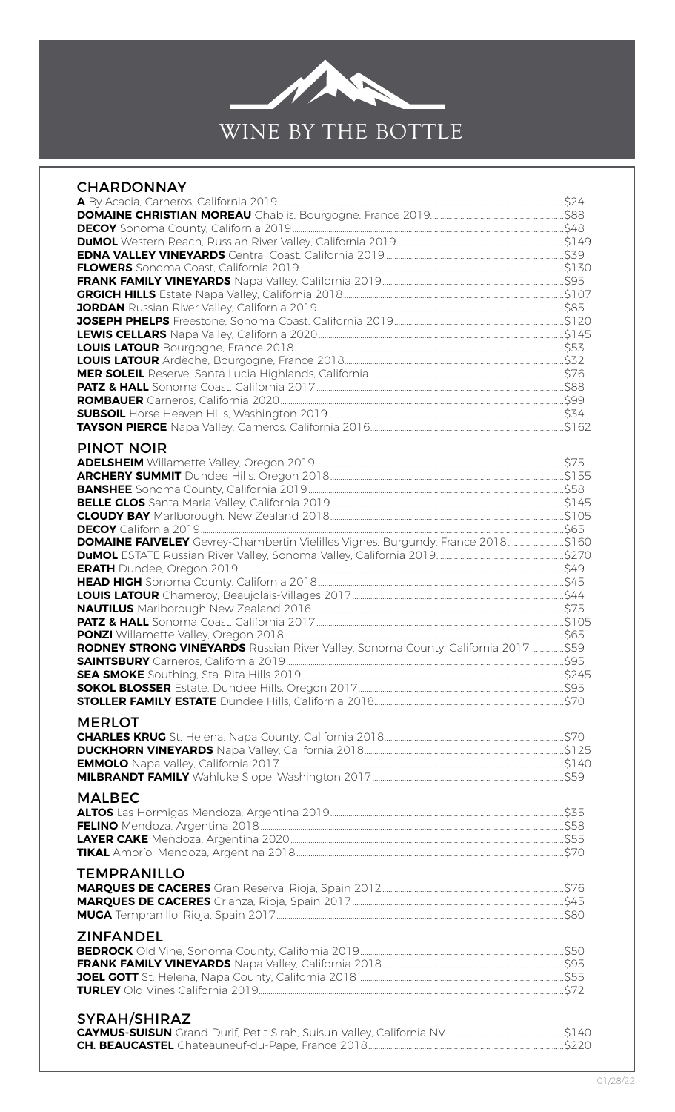

| <b>CHARDONNAY</b>                                                                |  |
|----------------------------------------------------------------------------------|--|
|                                                                                  |  |
|                                                                                  |  |
|                                                                                  |  |
|                                                                                  |  |
|                                                                                  |  |
|                                                                                  |  |
|                                                                                  |  |
|                                                                                  |  |
|                                                                                  |  |
|                                                                                  |  |
|                                                                                  |  |
|                                                                                  |  |
|                                                                                  |  |
|                                                                                  |  |
|                                                                                  |  |
|                                                                                  |  |
|                                                                                  |  |
| <b>PINOT NOIR</b>                                                                |  |
|                                                                                  |  |
|                                                                                  |  |
|                                                                                  |  |
|                                                                                  |  |
|                                                                                  |  |
| DOMAINE FAIVELEY Gevrey-Chambertin Vielilles Vignes, Burgundy, France 2018\$160  |  |
|                                                                                  |  |
|                                                                                  |  |
|                                                                                  |  |
|                                                                                  |  |
|                                                                                  |  |
|                                                                                  |  |
|                                                                                  |  |
| RODNEY STRONG VINEYARDS Russian River Valley, Sonoma County, California 2017\$59 |  |
|                                                                                  |  |
|                                                                                  |  |
|                                                                                  |  |
|                                                                                  |  |
| <b>MERLOT</b>                                                                    |  |
|                                                                                  |  |
|                                                                                  |  |
|                                                                                  |  |
|                                                                                  |  |
| <b>MALBEC</b>                                                                    |  |
|                                                                                  |  |
|                                                                                  |  |
|                                                                                  |  |
|                                                                                  |  |
| <b>TEMPRANILLO</b>                                                               |  |
|                                                                                  |  |
|                                                                                  |  |
|                                                                                  |  |
| <b>ZINFANDEL</b>                                                                 |  |
|                                                                                  |  |
|                                                                                  |  |
|                                                                                  |  |
|                                                                                  |  |
|                                                                                  |  |
| <b>SYRAH/SHIRAZ</b>                                                              |  |
|                                                                                  |  |
|                                                                                  |  |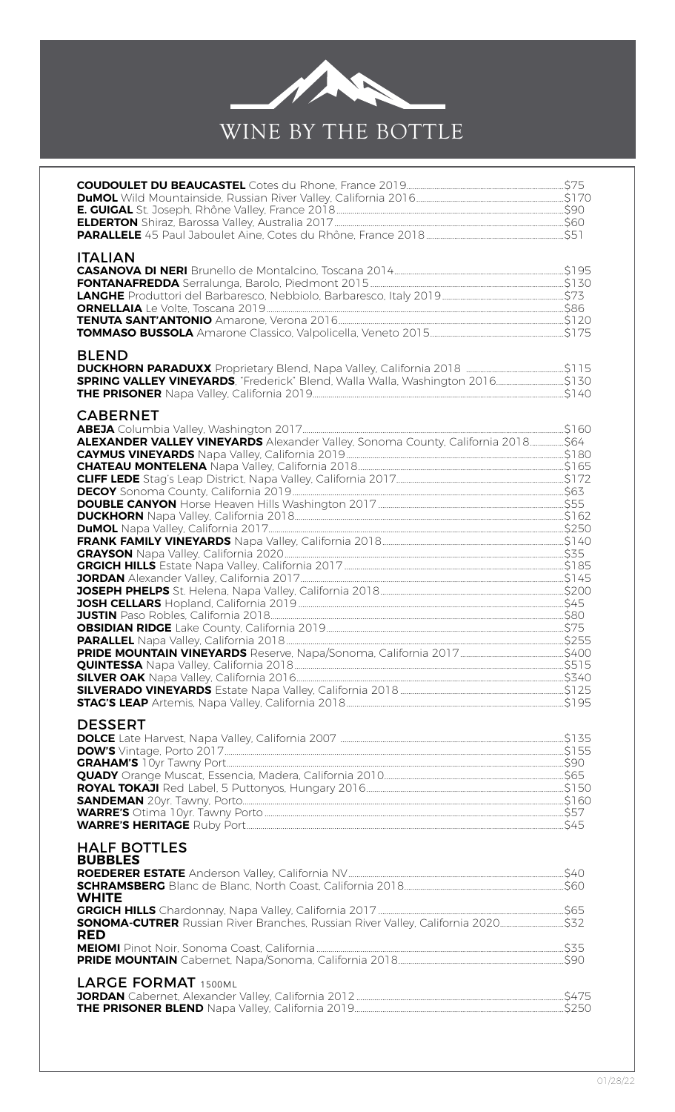

| <b>ITALIAN</b>                                                                                     |  |
|----------------------------------------------------------------------------------------------------|--|
| <b>BLEND</b>                                                                                       |  |
| <b>CABERNET</b><br>ALEXANDER VALLEY VINEYARDS Alexander Valley, Sonoma County, California 2018\$64 |  |
| <b>DESSERT</b>                                                                                     |  |
| <b>HALF BOTTLES</b><br><b>BUBBLES</b><br><b>WHITE</b><br><b>RED</b>                                |  |
| <b>LARGE FORMAT 1500ML</b>                                                                         |  |